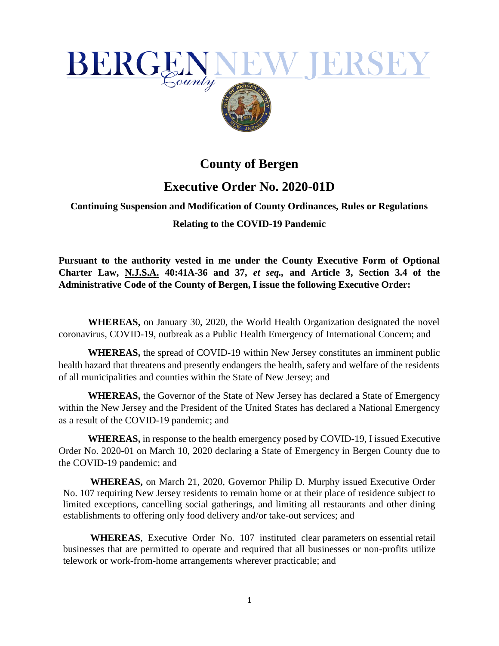

## **County of Bergen**

## **Executive Order No. 2020-01D**

## **Continuing Suspension and Modification of County Ordinances, Rules or Regulations Relating to the COVID-19 Pandemic**

**Pursuant to the authority vested in me under the County Executive Form of Optional Charter Law, N.J.S.A. 40:41A-36 and 37,** *et seq.,* **and Article 3, Section 3.4 of the Administrative Code of the County of Bergen, I issue the following Executive Order:** 

**WHEREAS,** on January 30, 2020, the World Health Organization designated the novel coronavirus, COVID-19, outbreak as a Public Health Emergency of International Concern; and

**WHEREAS,** the spread of COVID-19 within New Jersey constitutes an imminent public health hazard that threatens and presently endangers the health, safety and welfare of the residents of all municipalities and counties within the State of New Jersey; and

**WHEREAS,** the Governor of the State of New Jersey has declared a State of Emergency within the New Jersey and the President of the United States has declared a National Emergency as a result of the COVID-19 pandemic; and

**WHEREAS,** in response to the health emergency posed by COVID-19, I issued Executive Order No. 2020-01 on March 10, 2020 declaring a State of Emergency in Bergen County due to the COVID-19 pandemic; and

**WHEREAS,** on March 21, 2020, Governor Philip D. Murphy issued Executive Order No. 107 requiring New Jersey residents to remain home or at their place of residence subject to limited exceptions, cancelling social gatherings, and limiting all restaurants and other dining establishments to offering only food delivery and/or take-out services; and

**WHEREAS**, Executive Order No. 107 instituted clear parameters on essential retail businesses that are permitted to operate and required that all businesses or non-profits utilize telework or work-from-home arrangements wherever practicable; and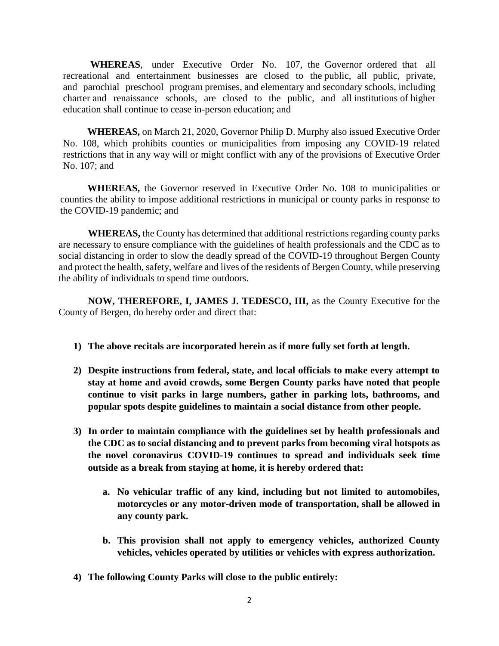**WHEREAS**, under Executive Order No. 107, the Governor ordered that all recreational and entertainment businesses are closed to the public, all public, private, and parochial preschool program premises, and elementary and secondary schools, including charter and renaissance schools, are closed to the public, and all institutions of higher education shall continue to cease in-person education; and

**WHEREAS,** on March 21, 2020, Governor Philip D. Murphy also issued Executive Order No. 108, which prohibits counties or municipalities from imposing any COVID-19 related restrictions that in any way will or might conflict with any of the provisions of Executive Order No. 107; and

**WHEREAS,** the Governor reserved in Executive Order No. 108 to municipalities or counties the ability to impose additional restrictions in municipal or county parks in response to the COVID-19 pandemic; and

**WHEREAS,** the County has determined that additional restrictions regarding county parks are necessary to ensure compliance with the guidelines of health professionals and the CDC as to social distancing in order to slow the deadly spread of the COVID-19 throughout Bergen County and protect the health, safety, welfare and lives of the residents of Bergen County, while preserving the ability of individuals to spend time outdoors.

**NOW, THEREFORE, I, JAMES J. TEDESCO, III,** as the County Executive for the County of Bergen, do hereby order and direct that:

- **1) The above recitals are incorporated herein as if more fully set forth at length.**
- **2) Despite instructions from federal, state, and local officials to make every attempt to stay at home and avoid crowds, some Bergen County parks have noted that people continue to visit parks in large numbers, gather in parking lots, bathrooms, and popular spots despite guidelines to [maintain a social distance](https://abcnews.go.com/Health/social-distancing-strategies-amid-coronavirus-outbreak/story?id=69648478) from other people.**
- **3) In order to maintain compliance with the guidelines set by health professionals and the CDC as to social distancing and to prevent parks from becoming viral hotspots as the novel [coronavirus](https://abcnews.go.com/Health/Coronavirus) COVID-19 continues to spread and individuals seek time outside as a break from staying at home, it is hereby ordered that:**
	- **a. No vehicular traffic of any kind, including but not limited to automobiles, motorcycles or any motor-driven mode of transportation, shall be allowed in any county park.**
	- **b. This provision shall not apply to emergency vehicles, authorized County vehicles, vehicles operated by utilities or vehicles with express authorization.**
- **4) The following County Parks will close to the public entirely:**